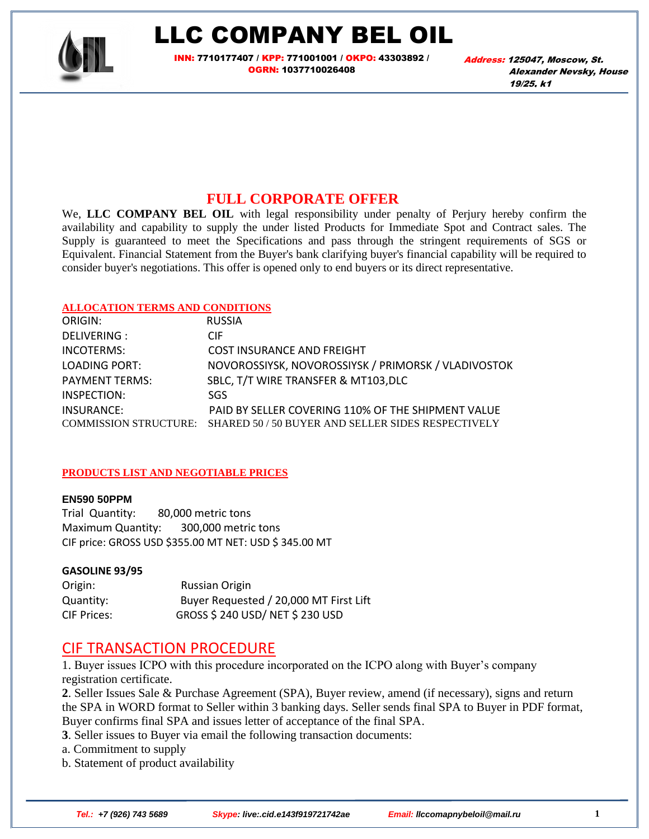

## LLC COMPANY BEL OIL

<mark>INN:</mark> 7710177407 / <mark>KPP:</mark> 771001001 / <mark>OKPO:</mark> 43303892 / OGRN: 1037710026408

Address: 125047, Moscow, St. Alexander Nevsky, House 19/25, k1

### **FULL CORPORATE OFFER**

We, LLC COMPANY BEL OIL with legal responsibility under penalty of Perjury hereby confirm the availability and capability to supply the under listed Products for Immediate Spot and Contract sales. The Supply is guaranteed to meet the Specifications and pass through the stringent requirements of SGS or Equivalent. Financial Statement from the Buyer's bank clarifying buyer's financial capability will be required to consider buyer's negotiations. This offer is opened only to end buyers or its direct representative.

#### **ALLOCATION TERMS AND CONDITIONS**

| ORIGIN:               | <b>RUSSIA</b>                                                            |
|-----------------------|--------------------------------------------------------------------------|
| DELIVERING :          | <b>CIF</b>                                                               |
| INCOTERMS:            | <b>COST INSURANCE AND FREIGHT</b>                                        |
| LOADING PORT:         | NOVOROSSIYSK, NOVOROSSIYSK / PRIMORSK / VLADIVOSTOK                      |
| <b>PAYMENT TERMS:</b> | SBLC, T/T WIRE TRANSFER & MT103, DLC                                     |
| INSPECTION:           | SGS.                                                                     |
| INSURANCE:            | PAID BY SELLER COVERING 110% OF THE SHIPMENT VALUE                       |
|                       | COMMISSION STRUCTURE: SHARED 50 / 50 BUYER AND SELLER SIDES RESPECTIVELY |

#### **PRODUCTS LIST AND NEGOTIABLE PRICES**

#### **EN590 50PPM**

Trial Quantity: 80,000 metric tons Maximum Quantity: 300,000 metric tons CIF price: GROSS USD \$355.00 MT NET: USD \$ 345.00 MT

#### **GASOLINE 93/95**

Origin: Russian Origin Quantity: Buyer Requested / 20,000 MT First Lift CIF Prices: GROSS \$ 240 USD/ NET \$ 230 USD

### CIF TRANSACTION PROCEDURE

1. Buyer issues ICPO with this procedure incorporated on the ICPO along with Buyer's company registration certificate.

**2**. Seller Issues Sale & Purchase Agreement (SPA), Buyer review, amend (if necessary), signs and return the SPA in WORD format to Seller within 3 banking days. Seller sends final SPA to Buyer in PDF format, Buyer confirms final SPA and issues letter of acceptance of the final SPA.

**3**. Seller issues to Buyer via email the following transaction documents:

a. Commitment to supply

b. Statement of product availability